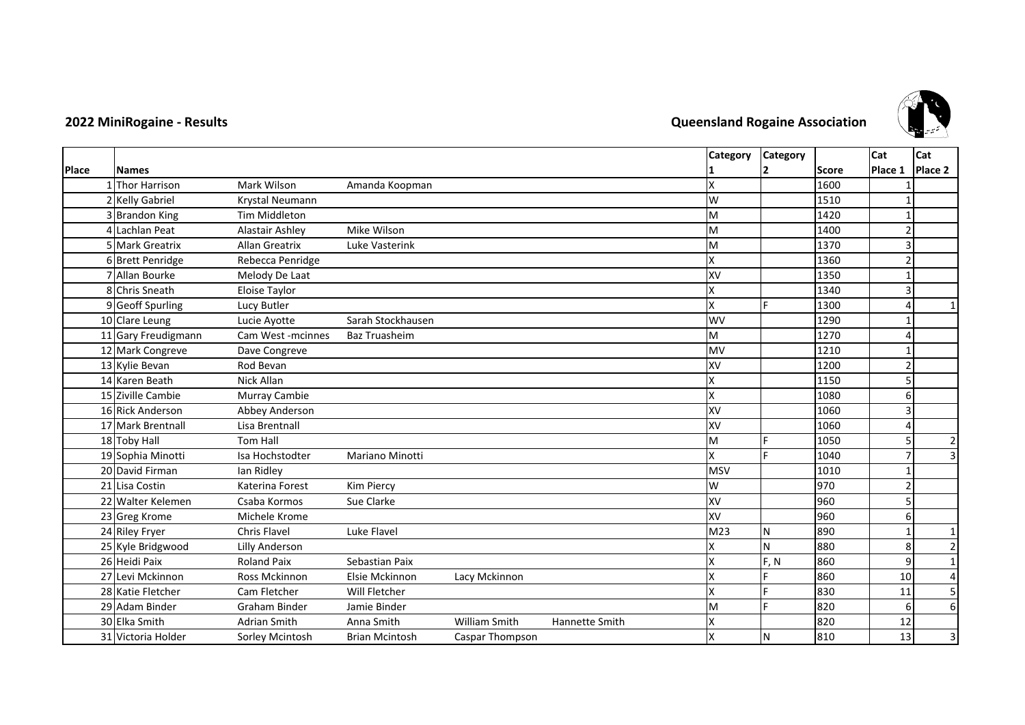

## **2022 MiniRogaine - Results Queensland Rogaine Association**

|       |                     |                      |                        |                 |                |                 | Category Category |              | Cat     | Cat            |
|-------|---------------------|----------------------|------------------------|-----------------|----------------|-----------------|-------------------|--------------|---------|----------------|
| Place | <b>Names</b>        |                      |                        |                 |                |                 |                   | <b>Score</b> | Place 1 | Place 2        |
|       | 1 Thor Harrison     | Mark Wilson          | Amanda Koopman         |                 |                | X               |                   | 1600         |         |                |
|       | 2 Kelly Gabriel     | Krystal Neumann      |                        |                 |                | W               |                   | 1510         |         |                |
|       | 3 Brandon King      | <b>Tim Middleton</b> |                        |                 |                | M               |                   | 1420         |         |                |
|       | 4 Lachlan Peat      | Alastair Ashley      | Mike Wilson            |                 |                | M               |                   | 1400         |         |                |
|       | 5 Mark Greatrix     | Allan Greatrix       | Luke Vasterink         |                 |                | M               |                   | 1370         |         |                |
|       | 6 Brett Penridge    | Rebecca Penridge     |                        |                 |                | X               |                   | 1360         |         |                |
|       | 7 Allan Bourke      | Melody De Laat       |                        |                 |                | XV              |                   | 1350         |         |                |
|       | 8 Chris Sneath      | <b>Eloise Taylor</b> |                        |                 |                | X               |                   | 1340         |         |                |
|       | 9 Geoff Spurling    | Lucy Butler          |                        |                 |                | x               |                   | 1300         |         | 1              |
|       | 10 Clare Leung      | Lucie Ayotte         | Sarah Stockhausen      |                 |                | WV              |                   | 1290         |         |                |
|       | 11 Gary Freudigmann | Cam West -mcinnes    | <b>Baz Truasheim</b>   |                 |                | M               |                   | 1270         |         |                |
|       | 12 Mark Congreve    | Dave Congreve        |                        |                 |                | MV              |                   | 1210         |         |                |
|       | 13 Kylie Bevan      | Rod Bevan            |                        |                 |                | XV              |                   | 1200         |         |                |
|       | 14 Karen Beath      | Nick Allan           |                        |                 |                | X               |                   | 1150         |         |                |
|       | 15 Ziville Cambie   | Murray Cambie        |                        |                 |                | Χ               |                   | 1080         |         |                |
|       | 16 Rick Anderson    | Abbey Anderson       |                        |                 |                | XV              |                   | 1060         |         |                |
|       | 17 Mark Brentnall   | Lisa Brentnall       |                        |                 |                | XV              |                   | 1060         |         |                |
|       | 18 Toby Hall        | <b>Tom Hall</b>      |                        |                 |                | M               |                   | 1050         |         | $\overline{2}$ |
|       | 19 Sophia Minotti   | Isa Hochstodter      | <b>Mariano Minotti</b> |                 |                | X               |                   | 1040         |         | 3              |
|       | 20 David Firman     | Ian Ridley           |                        |                 |                | <b>MSV</b>      |                   | 1010         |         |                |
|       | 21 Lisa Costin      | Katerina Forest      | Kim Piercy             |                 |                | W               |                   | 970          |         |                |
|       | 22 Walter Kelemen   | Csaba Kormos         | Sue Clarke             |                 |                | XV              |                   | 960          |         |                |
|       | 23 Greg Krome       | Michele Krome        |                        |                 |                | XV              |                   | 960          |         |                |
|       | 24 Riley Fryer      | Chris Flavel         | Luke Flavel            |                 |                | M <sub>23</sub> | IN.               | 890          |         | $\mathbf{1}$   |
|       | 25 Kyle Bridgwood   | Lilly Anderson       |                        |                 |                |                 | N                 | 880          |         | $\overline{2}$ |
|       | 26 Heidi Paix       | <b>Roland Paix</b>   | Sebastian Paix         |                 |                | X               | F, N              | 860          | 9       | $\mathbf{1}$   |
|       | 27 Levi Mckinnon    | <b>Ross Mckinnon</b> | Elsie Mckinnon         | Lacy Mckinnon   |                | X               |                   | 860          | 10      | 4              |
|       | 28 Katie Fletcher   | Cam Fletcher         | Will Fletcher          |                 |                | X               |                   | 830          | 11      | 5              |
|       | 29 Adam Binder      | <b>Graham Binder</b> | Jamie Binder           |                 |                | M               |                   | 820          |         | 6              |
|       | 30 Elka Smith       | Adrian Smith         | Anna Smith             | William Smith   | Hannette Smith |                 |                   | 820          | 12      |                |
|       | 31 Victoria Holder  | Sorley Mcintosh      | <b>Brian Mcintosh</b>  | Caspar Thompson |                | X               | IΝ                | 810          | 13      | 3              |